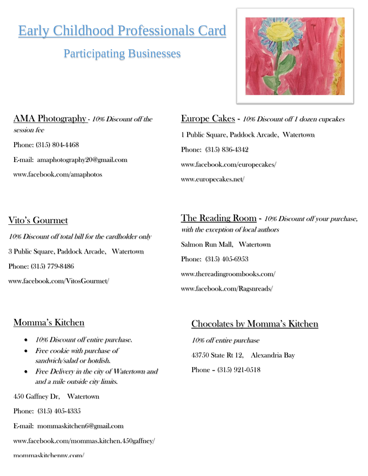# Early Childhood Professionals Card

# Participating Businesses



AMA Photography - 10% Discount off the session fee Phone: (315) 804-4468 E-mail: amaphotography20@gmail.com www.facebook.com/amaphotos

Europe Cakes - 10% Discount off 1 dozen cupcakes 1 Public Square, Paddock Arcade, Watertown Phone: (315) 836-4342 www.facebook.com/europecakes/ [www.europecakes.net/](http://www.europecakes.net/)

# Vito's Gourmet 10% Discount off total bill for the cardholder only 3 Public Square, Paddock Arcade, Watertown Phone: (315) 779-8486 www.facebook.com/VitosGourmet/

The Reading Room - 10% Discount off your purchase, with the exception of local authors Salmon Run Mall, Watertown Phone: (315) 405-6953 [www.thereadingroombooks.com/](http://www.thereadingroombooks.com/) [www.facebook.com/Ragsnreads/](http://www.facebook.com/Ragsnreads/)

## Momma's Kitchen

- 10% Discount off entire purchase.
- Free cookie with purchase of sandwich/salad or hotdish.
- Free Delivery in the city of Watertown and and a mile outside city limits.

450 Gaffney Dr, Watertown

Phone: (315) 405-4335

E-mail: [mommaskitchen6@gmail.com](mailto:mommaskitchen6@gmail.com)

[www.facebook.com/mommas.kitchen.450gaffney/](http://www.facebook.com/mommas.kitchen.450gaffney/)

#### mommaskitchenny.com/

### Chocolates by Momma's Kitchen

10% off entire purchase 43750 State Rt 12, Alexandria Bay Phone – (315) 921-0518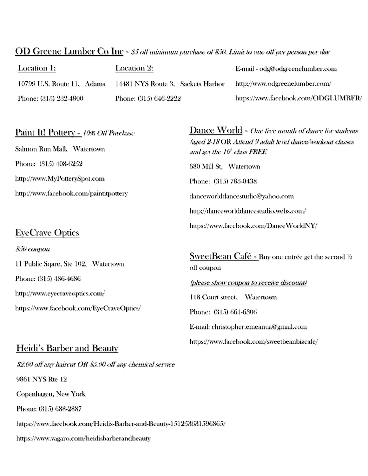#### OD Greene Lumber Co Inc - \$5 off minimum purchase of \$50. Limit to one off per person per day

| Location 1:                | Location 2:                       | E-mail - odg@odgreenelumber.com     |
|----------------------------|-----------------------------------|-------------------------------------|
| 10799 U.S. Route 11, Adams | 14481 NYS Route 3, Sackets Harbor | http://www.odgreenelumber.com/      |
| Phone: (315) 232-4800      | Phone: (315) 646-2222             | https://www.facebook.com/ODGLUMBER/ |

# Paint It! Pottery - 10% Off Purchase

Salmon Run Mall, Watertown Phone: (315) 408-6252 [http://www.MyPotterySpot.com](http://www.mypotteryspot.com/) http://www.facebook.com/paintitpottery

### EyeCrave Optics

\$50 coupon 11 Public Sqare, Ste 102, Watertown Phone: (315) 486-4686 http://www.eyecraveoptics.com/ https://www.facebook.com/EyeCraveOptics/

#### Heidi's Barber and Beauty

\$2.00 off any haircut OR \$5.00 off any chemical service 9861 NYS Rte 12 Copenhagen, New York Phone: (315) 688-2887 <https://www.facebook.com/Heidis-Barber-and-Beauty-151253631596865/> https://www.vagaro.com/heidisbarberandbeauty

Dance World - One free month of dance for students (aged 2-18 OR Attend 9 adult level dance/workout classes and get the  $10^{\scriptscriptstyle\circ}$  class FREE 680 Mill St, Watertown Phone: (315) 785-0438 [danceworlddancestudio@yahoo.com](mailto:danceworlddancestudio@yahoo.com) <http://danceworlddancestudio.webs.com/> https://www.facebook.com/DanceWorldNY/

SweetBean Café - Buy one entrée get the second ½ off coupon (please show coupon to receive discount) 118 Court street, Watertown Phone: (315) 661-6306 E-mail: [christopher.emeanua@gmail.com](mailto:christopher.emeanua@gmail.com)

<https://www.facebook.com/sweetbeanbizcafe/>